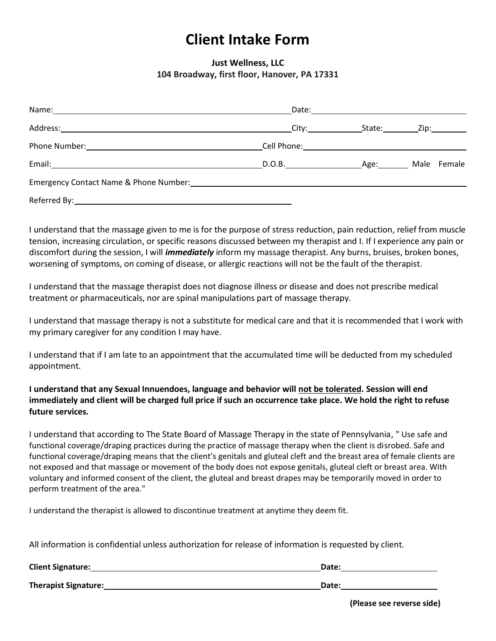## **Client Intake Form**

## **Just Wellness, LLC 104 Broadway, first floor, Hanover, PA 17331**

| Name:                                                               |                    |        |              |
|---------------------------------------------------------------------|--------------------|--------|--------------|
| Address:                                                            | City:_____________ | State: | Zip:________ |
| Phone Number:                                                       |                    |        |              |
| Email:<br><u> 1989 - John Stein, Amerikaansk politiker († 1908)</u> | D.O.B.             | Age:   | Male Female  |
|                                                                     |                    |        |              |
| Referred By:                                                        |                    |        |              |

I understand that the massage given to me is for the purpose of stress reduction, pain reduction, relief from muscle tension, increasing circulation, or specific reasons discussed between my therapist and I. If I experience any pain or discomfort during the session, I will *immediately* inform my massage therapist. Any burns, bruises, broken bones, worsening of symptoms, on coming of disease, or allergic reactions will not be the fault of the therapist.

I understand that the massage therapist does not diagnose illness or disease and does not prescribe medical treatment or pharmaceuticals, nor are spinal manipulations part of massage therapy.

I understand that massage therapy is not a substitute for medical care and that it is recommended that I work with my primary caregiver for any condition I may have.

I understand that if I am late to an appointment that the accumulated time will be deducted from my scheduled appointment.

## **I understand that any Sexual Innuendoes, language and behavior will not be tolerated. Session will end immediately and client will be charged full price if such an occurrence take place. We hold the right to refuse future services.**

I understand that according to The State Board of Massage Therapy in the state of Pennsylvania, " Use safe and functional coverage/draping practices during the practice of massage therapy when the client is disrobed. Safe and functional coverage/draping means that the client's genitals and gluteal cleft and the breast area of female clients are not exposed and that massage or movement of the body does not expose genitals, gluteal cleft or breast area. With voluntary and informed consent of the client, the gluteal and breast drapes may be temporarily moved in order to perform treatment of the area."

I understand the therapist is allowed to discontinue treatment at anytime they deem fit.

All information is confidential unless authorization for release of information is requested by client.

| <b>Client Signature:</b> | Date: |
|--------------------------|-------|
| Therapist Signature:     | Date: |

**(Please see reverse side)**